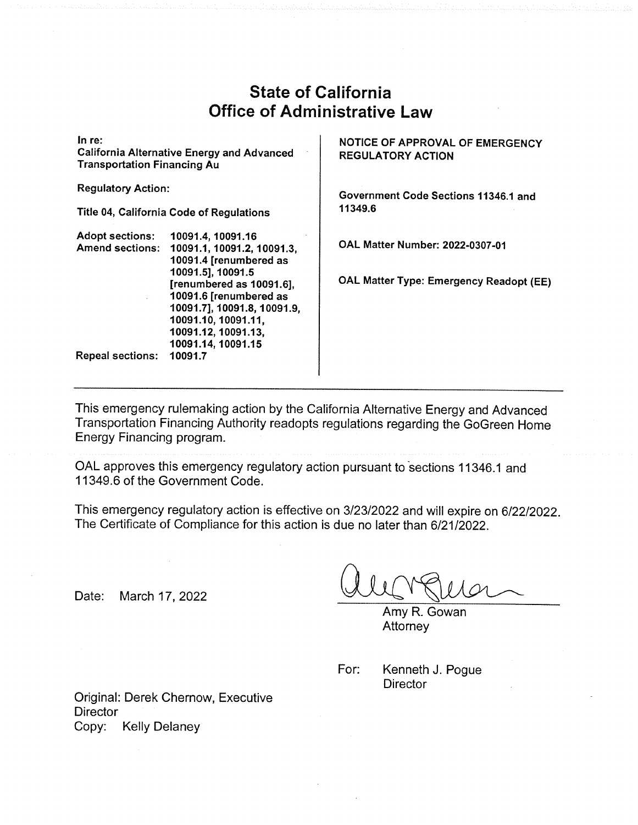# State of California Office of Administrative Law

| <b>Transportation Financing Au</b>                                                                                                                                                                                                                                                                                                                |                                                                                          |  |
|---------------------------------------------------------------------------------------------------------------------------------------------------------------------------------------------------------------------------------------------------------------------------------------------------------------------------------------------------|------------------------------------------------------------------------------------------|--|
| <b>Regulatory Action:</b>                                                                                                                                                                                                                                                                                                                         | Government Code Sections 11346.1 and<br>11349.6                                          |  |
| Title 04, California Code of Regulations                                                                                                                                                                                                                                                                                                          |                                                                                          |  |
| <b>Adopt sections:</b><br>10091.4, 10091.16<br><b>Amend sections:</b><br>10091.1, 10091.2, 10091.3,<br>10091.4 [renumbered as<br>10091.5], 10091.5<br>[renumbered as 10091.6],<br>10091.6 [renumbered as<br>10091.7], 10091.8, 10091.9,<br>10091.10, 10091.11,<br>10091.12, 10091.13,<br>10091.14, 10091.15<br>10091.7<br><b>Repeal sections:</b> | <b>OAL Matter Number: 2022-0307-01</b><br><b>OAL Matter Type: Emergency Readopt (EE)</b> |  |

This emergency rulemaking action by the California Alternative Energy and Advanced Transportation Financing Authority readapts regulations regarding the GoGreen Home Energy Financing program.

OAL approves this emergency regulatory action pursuant to sections 11346.1 and 11349.6 of the Government Code.

This emergency regulatory action is effective on 3/2312022 and will expire on 6/22/2022. The Certificate of Compliance for this action is due no later than 6/21/2022.

Date: March 17, 2022

Amy R. Gowan **Attorney** 

For: Kenneth J. Pogue **Director** 

Original: Derek Chernow, Executive **Director** Copy: Kelly Delaney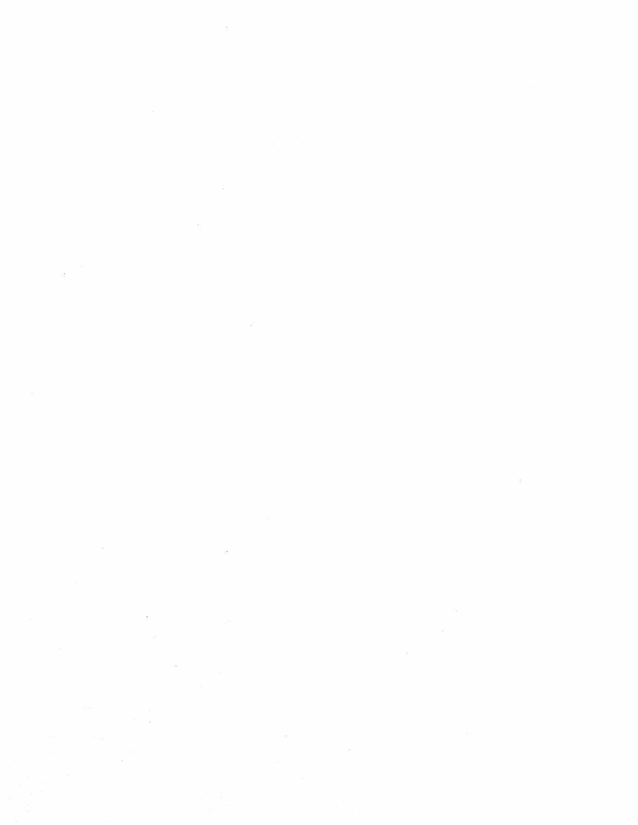$\label{eq:2.1} \frac{1}{\sqrt{2}}\int_{\mathbb{R}^3}\frac{1}{\sqrt{2}}\left(\frac{1}{\sqrt{2}}\right)^2\frac{1}{\sqrt{2}}\left(\frac{1}{\sqrt{2}}\right)^2\frac{1}{\sqrt{2}}\left(\frac{1}{\sqrt{2}}\right)^2\frac{1}{\sqrt{2}}\left(\frac{1}{\sqrt{2}}\right)^2\frac{1}{\sqrt{2}}\left(\frac{1}{\sqrt{2}}\right)^2\frac{1}{\sqrt{2}}\frac{1}{\sqrt{2}}\frac{1}{\sqrt{2}}\frac{1}{\sqrt{2}}\frac{1}{\sqrt{2}}\frac{1}{\sqrt{2}}$ 

 $\label{eq:2.1} \frac{1}{\sqrt{2\pi}}\int_{\mathbb{R}^3}\frac{1}{\sqrt{2\pi}}\int_{\mathbb{R}^3}\frac{1}{\sqrt{2\pi}}\int_{\mathbb{R}^3}\frac{1}{\sqrt{2\pi}}\int_{\mathbb{R}^3}\frac{1}{\sqrt{2\pi}}\int_{\mathbb{R}^3}\frac{1}{\sqrt{2\pi}}\int_{\mathbb{R}^3}\frac{1}{\sqrt{2\pi}}\int_{\mathbb{R}^3}\frac{1}{\sqrt{2\pi}}\int_{\mathbb{R}^3}\frac{1}{\sqrt{2\pi}}\int_{\mathbb{R}^3}\frac{1$  $\label{eq:2.1} \frac{1}{\sqrt{2\pi}}\int_{0}^{\infty}\frac{1}{\sqrt{2\pi}}\left(\frac{1}{\sqrt{2\pi}}\right)^{2\alpha} \frac{1}{\sqrt{2\pi}}\int_{0}^{\infty}\frac{1}{\sqrt{2\pi}}\left(\frac{1}{\sqrt{2\pi}}\right)^{\alpha} \frac{1}{\sqrt{2\pi}}\frac{1}{\sqrt{2\pi}}\int_{0}^{\infty}\frac{1}{\sqrt{2\pi}}\frac{1}{\sqrt{2\pi}}\frac{1}{\sqrt{2\pi}}\frac{1}{\sqrt{2\pi}}\frac{1}{\sqrt{2\pi}}\frac{1}{\sqrt{2\$ 

 $\label{eq:2.1} \frac{1}{\sqrt{2\pi}}\int_{\mathbb{R}^3}\frac{1}{\sqrt{2\pi}}\int_{\mathbb{R}^3}\frac{1}{\sqrt{2\pi}}\int_{\mathbb{R}^3}\frac{1}{\sqrt{2\pi}}\int_{\mathbb{R}^3}\frac{1}{\sqrt{2\pi}}\int_{\mathbb{R}^3}\frac{1}{\sqrt{2\pi}}\int_{\mathbb{R}^3}\frac{1}{\sqrt{2\pi}}\int_{\mathbb{R}^3}\frac{1}{\sqrt{2\pi}}\int_{\mathbb{R}^3}\frac{1}{\sqrt{2\pi}}\int_{\mathbb{R}^3}\frac{1$ 

 $\label{eq:1} \hat{h}_{\rm{eff}} = \frac{1}{2} \sum_{i=1}^{N} \hat{h}_{\rm{eff}} \hat{h}_{\rm{eff}}$  $\label{eq:2.1} \frac{1}{\sqrt{2}}\sum_{i=1}^n\frac{1}{\sqrt{2}}\sum_{j=1}^n\frac{1}{\sqrt{2}}\sum_{j=1}^n\frac{1}{\sqrt{2}}\sum_{j=1}^n\frac{1}{\sqrt{2}}\sum_{j=1}^n\frac{1}{\sqrt{2}}\sum_{j=1}^n\frac{1}{\sqrt{2}}\sum_{j=1}^n\frac{1}{\sqrt{2}}\sum_{j=1}^n\frac{1}{\sqrt{2}}\sum_{j=1}^n\frac{1}{\sqrt{2}}\sum_{j=1}^n\frac{1}{\sqrt{2}}\sum_{j=1}^n\frac$  $\label{eq:2.1} \begin{split} \mathcal{L}_{\text{max}}(\mathbf{r},\mathbf{r}) = \mathcal{L}_{\text{max}}(\mathbf{r},\mathbf{r}) \mathcal{L}_{\text{max}}(\mathbf{r},\mathbf{r}) \mathcal{L}_{\text{max}}(\mathbf{r},\mathbf{r}) \mathcal{L}_{\text{max}}(\mathbf{r},\mathbf{r}) \mathcal{L}_{\text{max}}(\mathbf{r},\mathbf{r},\mathbf{r}) \mathcal{L}_{\text{max}}(\mathbf{r},\mathbf{r},\mathbf{r}) \mathcal{L}_{\text{max}}(\mathbf{r},\mathbf{r},\mathbf{r},\mathbf$  $\label{eq:2.1} \frac{1}{\sqrt{2}}\int_{0}^{\infty}\frac{dx}{\sqrt{2\pi}}\,dx\leq \frac{1}{2}\int_{0}^{\infty}\frac{dx}{\sqrt{2\pi}}\,dx$ 

 $\frac{1}{2} \frac{1}{2} \frac{1}{2}$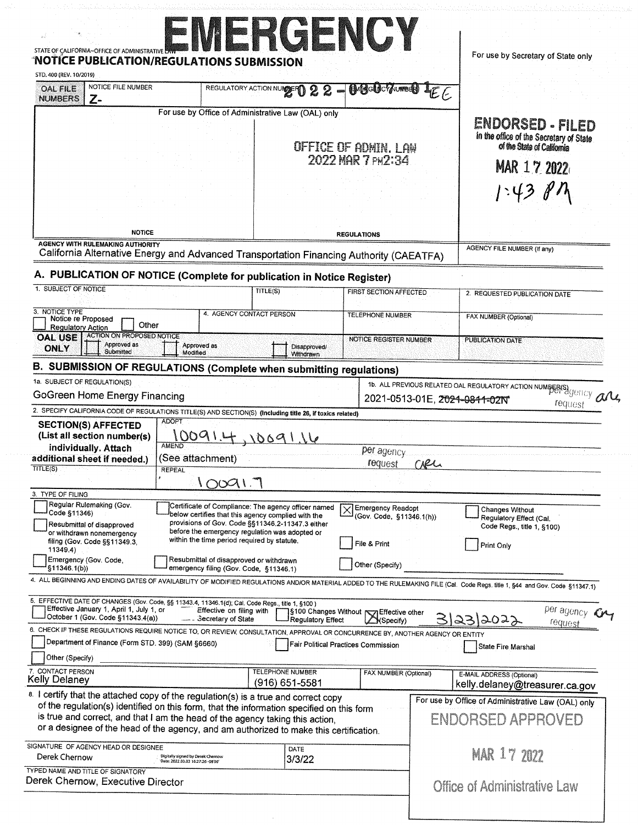|                                                                                                                                                                                                                                                                                                                                                                                                          | STATE OF CALIFORNIA-OFFICE OF ADMINISTRATIVE                                                                                                                                                                                                                   |                                           | EMERGENCY                                                                        | For use by Secretary of State only                                                                                                                                           |
|----------------------------------------------------------------------------------------------------------------------------------------------------------------------------------------------------------------------------------------------------------------------------------------------------------------------------------------------------------------------------------------------------------|----------------------------------------------------------------------------------------------------------------------------------------------------------------------------------------------------------------------------------------------------------------|-------------------------------------------|----------------------------------------------------------------------------------|------------------------------------------------------------------------------------------------------------------------------------------------------------------------------|
| <b>NOTICE PUBLICATION/REGULATIONS SUBMISSION</b>                                                                                                                                                                                                                                                                                                                                                         |                                                                                                                                                                                                                                                                |                                           |                                                                                  |                                                                                                                                                                              |
| STD. 400 (REV. 10/2019)<br>NOTICE FILE NUMBER<br><b>OAL FILE</b><br><b>NUMBERS</b><br>$Z-$                                                                                                                                                                                                                                                                                                               |                                                                                                                                                                                                                                                                | REGULATORY ACTION NUMBER 22               | <b>A</b> BGUCYNUMBER                                                             |                                                                                                                                                                              |
|                                                                                                                                                                                                                                                                                                                                                                                                          | For use by Office of Administrative Law (OAL) only                                                                                                                                                                                                             |                                           |                                                                                  |                                                                                                                                                                              |
|                                                                                                                                                                                                                                                                                                                                                                                                          |                                                                                                                                                                                                                                                                |                                           | <b>OFFICE OF ADMIN. LAW</b>                                                      | ENDORSED - FILED<br>in the office of the Secretary of State<br>of the State of California                                                                                    |
|                                                                                                                                                                                                                                                                                                                                                                                                          |                                                                                                                                                                                                                                                                |                                           | 2022 MAR 7 PM2:34                                                                | MAR 17 2022                                                                                                                                                                  |
|                                                                                                                                                                                                                                                                                                                                                                                                          |                                                                                                                                                                                                                                                                |                                           |                                                                                  | $-43$ $8h$                                                                                                                                                                   |
| <b>NOTICE</b>                                                                                                                                                                                                                                                                                                                                                                                            |                                                                                                                                                                                                                                                                |                                           |                                                                                  |                                                                                                                                                                              |
| <b>AGENCY WITH RULEMAKING AUTHORITY</b><br>California Alternative Energy and Advanced Transportation Financing Authority (CAEATFA)                                                                                                                                                                                                                                                                       |                                                                                                                                                                                                                                                                |                                           | <b>REGULATIONS</b>                                                               | AGENCY FILE NUMBER (If any)                                                                                                                                                  |
|                                                                                                                                                                                                                                                                                                                                                                                                          |                                                                                                                                                                                                                                                                |                                           |                                                                                  |                                                                                                                                                                              |
| A. PUBLICATION OF NOTICE (Complete for publication in Notice Register)<br>1. SUBJECT OF NOTICE                                                                                                                                                                                                                                                                                                           |                                                                                                                                                                                                                                                                | TITLE(S)                                  | <b>FIRST SECTION AFFECTED</b>                                                    |                                                                                                                                                                              |
|                                                                                                                                                                                                                                                                                                                                                                                                          |                                                                                                                                                                                                                                                                |                                           |                                                                                  | 2. REQUESTED PUBLICATION DATE                                                                                                                                                |
| 3. NOTICE TYPE<br>Notice re Proposed<br>Other<br><b>Regulatory Action</b>                                                                                                                                                                                                                                                                                                                                | 4. AGENCY CONTACT PERSON                                                                                                                                                                                                                                       |                                           | <b>TELEPHONE NUMBER</b>                                                          | FAX NUMBER (Optional)                                                                                                                                                        |
| <b>ACTION ON PROPOSED NOTICE</b><br><b>OAL USE</b><br>Approved as<br><b>ONLY</b><br>Submitted                                                                                                                                                                                                                                                                                                            | Approved as<br>Modified                                                                                                                                                                                                                                        | Disapproved/<br>Withdrawn                 | <b>NOTICE REGISTER NUMBER</b>                                                    | <b>PUBLICATION DATE</b>                                                                                                                                                      |
| B. SUBMISSION OF REGULATIONS (Complete when submitting regulations)                                                                                                                                                                                                                                                                                                                                      |                                                                                                                                                                                                                                                                |                                           |                                                                                  |                                                                                                                                                                              |
| 1a. SUBJECT OF REGULATION(S)                                                                                                                                                                                                                                                                                                                                                                             |                                                                                                                                                                                                                                                                |                                           |                                                                                  | 1b. ALL PREVIOUS RELATED OAL REGULATORY ACTION NUMBER(S) GUILCY AND                                                                                                          |
| GoGreen Home Energy Financing<br>2. SPECIFY CALIFORNIA CODE OF REGULATIONS TITLE(S) AND SECTION(S) (including title 26, if toxics related)                                                                                                                                                                                                                                                               |                                                                                                                                                                                                                                                                |                                           | 2021-0513-01E, 2024-0811-02N                                                     | request                                                                                                                                                                      |
| (List all section number(s)<br>individually. Attach<br>additional sheet if needed.)<br>TITLE(S)                                                                                                                                                                                                                                                                                                          | 0091.4<br>AMEND<br>(See attachment)<br><b>REPEAL</b>                                                                                                                                                                                                           | 11.10001.1                                | per agency.<br>request<br>crec                                                   |                                                                                                                                                                              |
| 3. TYPE OF FILING                                                                                                                                                                                                                                                                                                                                                                                        | 00011.7                                                                                                                                                                                                                                                        |                                           |                                                                                  |                                                                                                                                                                              |
| Regular Rulemaking (Gov.<br>Code §11346)<br>Resubmittal of disapproved<br>or withdrawn nonemergency<br>filing (Gov. Code §§11349.3,<br>11349.4)                                                                                                                                                                                                                                                          | Certificate of Compliance: The agency officer named<br>below certifies that this agency complied with the<br>provisions of Gov. Code §§11346.2-11347.3 either<br>before the emergency regulation was adopted or<br>within the time period required by statute. |                                           | <b>Emergency Readopt</b><br>$\times$<br>(Gov. Code, §11346.1(h))<br>File & Print | <b>Changes Without</b><br>Regulatory Effect (Cal.<br>Code Regs., title 1, §100)<br>Print Only                                                                                |
| Emergency (Gov. Code,<br>\$11346.1(b)                                                                                                                                                                                                                                                                                                                                                                    | Resubmittal of disapproved or withdrawn<br>emergency filing (Gov. Code, §11346.1)                                                                                                                                                                              |                                           | Other (Specify)                                                                  |                                                                                                                                                                              |
|                                                                                                                                                                                                                                                                                                                                                                                                          |                                                                                                                                                                                                                                                                |                                           |                                                                                  | 4. ALL BEGINNING AND ENDING DATES OF AVAILABILITY OF MODIFIED REGULATIONS AND/OR MATERIAL ADDED TO THE RULEMAKING FILE (Cal. Code Regs. title 1, §44 and Gov. Code §11347.1) |
| 5. EFFECTIVE DATE OF CHANGES (Gov. Code, §§ 11343.4, 11346.1(d); Cal. Code Regs., title 1, §100)<br>Effective January 1, April 1, July 1, or<br>October 1 (Gov. Code §11343.4(a))                                                                                                                                                                                                                        | Effective on filing with<br>Secretary of State                                                                                                                                                                                                                 | <b>Regulatory Effect</b>                  | ן 2100 Changes Without ךֲרובּ Effective other<br>(Specify)                       | per agency Cry<br>123/2022<br>request                                                                                                                                        |
| 6. CHECK IF THESE REGULATIONS REQUIRE NOTICE TO, OR REVIEW, CONSULTATION, APPROVAL OR CONCURRENCE BY, ANOTHER AGENCY OR ENTITY<br>Department of Finance (Form STD. 399) (SAM §6660)<br>Other (Specify)                                                                                                                                                                                                   |                                                                                                                                                                                                                                                                |                                           | Fair Political Practices Commission                                              | <b>State Fire Marshal</b>                                                                                                                                                    |
|                                                                                                                                                                                                                                                                                                                                                                                                          |                                                                                                                                                                                                                                                                | <b>TELEPHONE NUMBER</b><br>(916) 651-5581 | FAX NUMBER (Optional)                                                            | E-MAIL ADDRESS (Optional)                                                                                                                                                    |
|                                                                                                                                                                                                                                                                                                                                                                                                          |                                                                                                                                                                                                                                                                |                                           |                                                                                  | kelly.delaney@treasurer.ca.gov<br>For use by Office of Administrative Law (OAL) only                                                                                         |
|                                                                                                                                                                                                                                                                                                                                                                                                          |                                                                                                                                                                                                                                                                |                                           |                                                                                  |                                                                                                                                                                              |
| 7. CONTACT PERSON<br><b>Kelly Delaney</b><br>8. I certify that the attached copy of the regulation(s) is a true and correct copy<br>of the regulation(s) identified on this form, that the information specified on this form<br>is true and correct, and that I am the head of the agency taking this action,<br>or a designee of the head of the agency, and am authorized to make this certification. |                                                                                                                                                                                                                                                                |                                           |                                                                                  | ENDORSED APPROVED                                                                                                                                                            |
| SIGNATURE OF AGENCY HEAD OR DESIGNEE<br>Derek Chernow                                                                                                                                                                                                                                                                                                                                                    | Digitally signed by Derek Chernow<br>Date: 2022.03.03 16:27:26 -08'00'                                                                                                                                                                                         | DATE<br>3/3/22                            |                                                                                  | <b>MAR 17 2022</b>                                                                                                                                                           |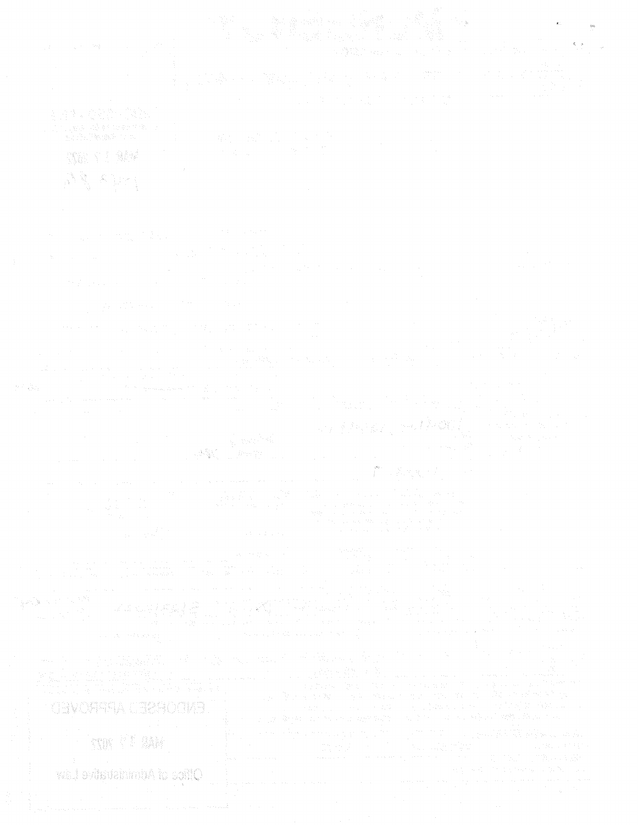$\mathcal{N}^k_{\mathcal{N}}$  and  $\mathcal{N}^k_{\mathcal{N}}$ 

NE TI NA

u Ş

**CENOPPRA CERARDOMÍS** 

**SSOR YN ANA** 

**KA** (1995) mengandi<br>Perang Panah

1 - ネスズブ

Office of Administrative Law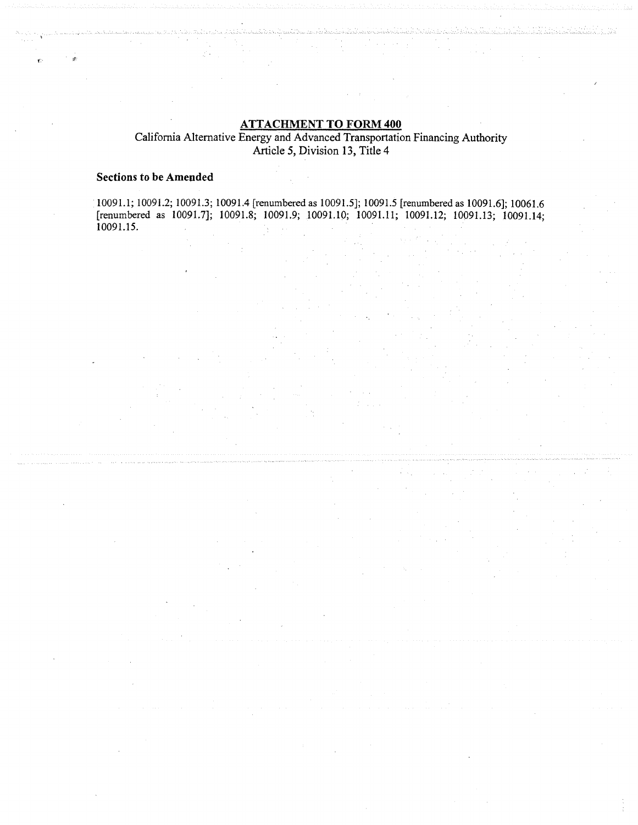# ATTACHMENT TO FORM 400

California Alternative Energy and Advanced Transportation Financing Authority Article S, Division 13, Title 4

#### Sections to be Amended

T:'

10091.1; 10091.2; 100913; 10091.4 [renumbered as 10491.SJ; 10091.5 [renumbered as 10091.6]; 10061.6 [renumbered as 10091.7]; 10091.8; 10091.9; 10091.10; 10091.11; 10091.12; 10091.13; 10091.14; 10091.15.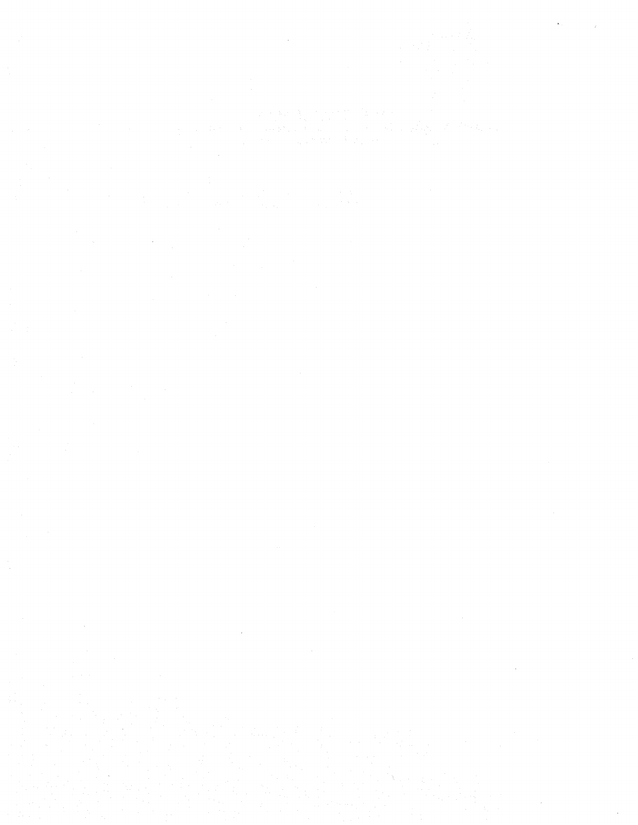$\hat{\mathcal{A}}$  $\sim$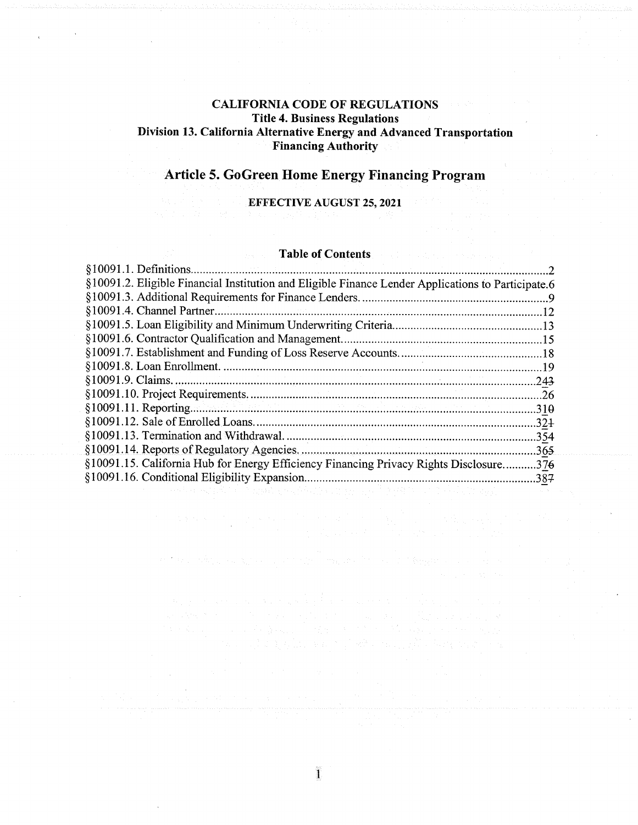## CALIFORNIA CODE OF REGULATIONS Title 4. Business Regulations Division 13. California Alternative Energy and Advanced Transportation Financing Authority

# Article 5. GoGreen Home Energy Financing Program

### EFFECTIVE AUGUST 25, 2021

#### Table of Contents

| §10091.2. Eligible Financial Institution and Eligible Finance Lender Applications to Participate.6 |      |
|----------------------------------------------------------------------------------------------------|------|
|                                                                                                    |      |
|                                                                                                    |      |
|                                                                                                    |      |
|                                                                                                    |      |
|                                                                                                    |      |
|                                                                                                    |      |
|                                                                                                    |      |
|                                                                                                    |      |
|                                                                                                    |      |
|                                                                                                    |      |
|                                                                                                    | .354 |
|                                                                                                    | .365 |
| §10091.15. California Hub for Energy Efficiency Financing Privacy Rights Disclosure                | .376 |
|                                                                                                    | .387 |
|                                                                                                    |      |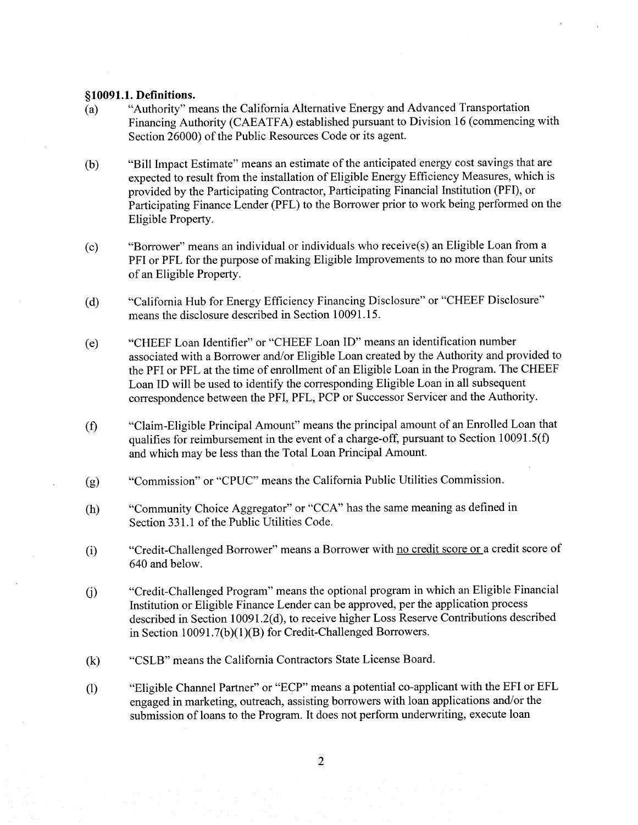#### §10091.1. Definitions.

- (a) "Authority" means the California Alternative Energy and Advanced Transportation Financing Authority (CAEATFA) established pursuant to Division 16 (commencing with Section 26000) of the Public Resources Code or its agent.
- (b) "Bill Impact Estimate" means an estimate of the anticipated energy cost savings that are expected to result from the installation of Eligible Energy Efficiency Measures, which is provided by the Participating Contractor, Participating Financial Institution (PFI), or Participating Finance Lender (PFL) to the Borrower prior to work being performed on the Eligible Property.
- (c) "Borrower" means an individual or individuals who receive(s) an Eligible Loan from a PFI or PFL for the purpose of making Eligible Improvements to no more than four units of an Eligible Property.
- (d) "California Hub for Energy Efficiency Financing Disclosure" or "CHEEF Disclosure" means the disclosure described in Section 10091.15.
- (e) "CHEEP Loan Identifier" or "CHEEP Loan ID" means an identification number associated with a Borrower and/or Eligible Loan created by the Authority and provided to the PFI or PFL at the time of enrollment of an Eligible Loan in the Program. The CHEEP Loan ID will be used to identify the corresponding Eligible Loan in all subsequent correspondence between the PFI, PFL, PCP or Successor Servicer and the Authority.
- (~ "Claim-Eligible Principal Amount" means the principal amount of an Enrolled Loan that qualifies for reimbursement in the event of a charge-off, pursuant to Section  $10091.5(f)$ and which may be less than the Total Loan Principal Amount.
- (g) "Commission" or "CPUC" means the California Public Utilities Commission.
- (h) "Community Choice Aggregator" or "CCA" has the same meaning as defined in Section 331.1 of the Public Utilities Code.
- (i) "Credit-Challenged Borrower" means a Borrower with no credit score or a credit score of 640 and below.
- (j) "Credit-Challenged Program" means the optional program in which an Eligible Financial Institution or Eligible Finance Lender can be approved, per the application process described in Section 10091.2(d), to receive higher Loss Reserve Contributions described in Section 10091.7(b)(1)(B) for Credit-Challenged Borrowers.
- (k) "CSLB" means the California Contractors State License Board.
- (1) "Eligible Channel Partner" or "ECP" means a potential co-applicant with the EFI or EFL engaged in marketing, outreach, assisting borrowers with loan applications and/or the submission of loans to the Program. It does not perform underwriting, execute loan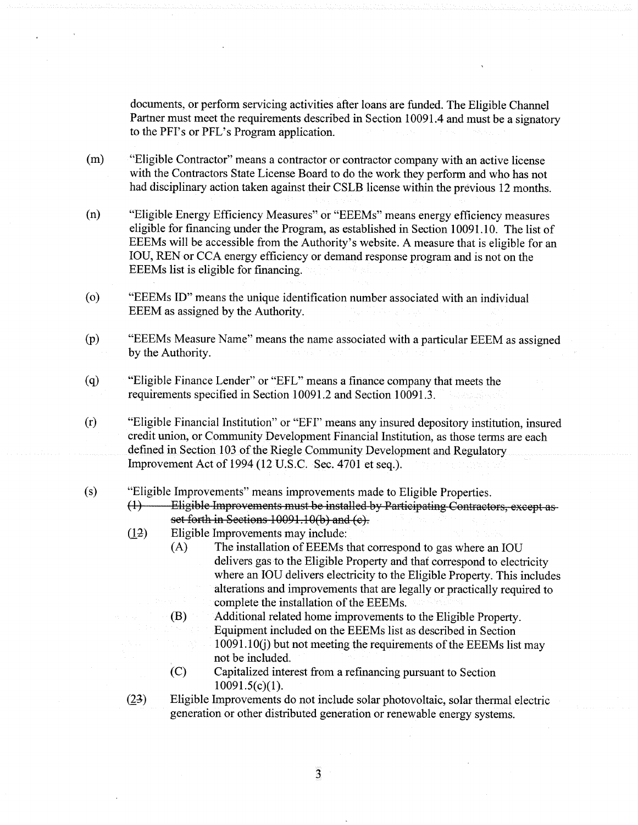documents, or perform servicing activities after loans are funded. The Eligible Channel Partner must meet the requirements described in Section 10091.4 and must be a signatory to the PFI's or PFL's Program application.

- (m) "Eligible Contractor" means a contractor or contractor company with an active license with the Contractors State License Board to do the work they perform and who has not had disciplinary action taken against their CSLB license within the previous 12 months.
- (n) "Eligible Energy Efficiency Measures" or "EEEMs" means energy efficiency measures eligible for financing under the Program, as established in Section 10091.10. The list of EEEMs will be accessible from the Authority's website. A measure that is eligible for an IOU, REN or CCA energy efficiency or demand response program and is not on the EEEMs list is eligible for financing.
- (o) "EEEMs ID" means the unique identification number associated with an individual EEEM as assigned by the Authority.
- (p) "EEEMs Measure Name" means the name associated with a particular EEEM as assigned by the Authority.
- (q) "Eligible Finance Lender" or "EFL" means a finance company that meets the requirements specified in Section 10091.2 and Section 10091.3.
- (r) "Eligible Financial Institution" or "EFI" means any insured depository institution, insured credit union, or Community Development Financial Institution, as those terms are each defined in Section 103 of the Riegle Community Development and Regulatory Improvement Act of 1994 {12 U.S.C. Sec. 4701 et seq.).
- (s) "Eligible Improvements" means improvements made to Eligible Properties.

Eligible Improvements must be installed by Participating Contractors, except asset forth in Sections 10091.10(b) and (c).  $\leftrightarrow$ 

- $(12)$  Eligible Improvements may include:<br>(A) The installation of EEEMs
	- The installation of EEEMs that correspond to gas where an IOU delivers gas to the Eligible Property and that correspond to electricity where an IOU delivers electricity to the Eligible Property. This includes alterations and improvements that are legally or practically required to complete the installation of the EEEMs.
	- (B) Additional related home improvements to the Eligible Property. Equipment included on the EEEMs list as described in Section 10091.10(j) but not meeting the requirements of the EEEMs list may not be included.
	- (C) Capitalized interest from a refinancing pursuant to Section 10091.5(c)(1).

(23) Eligible Improvements do not include solar photovoltaic, solar thermal electric generation or other distributed generation or renewable energy systems.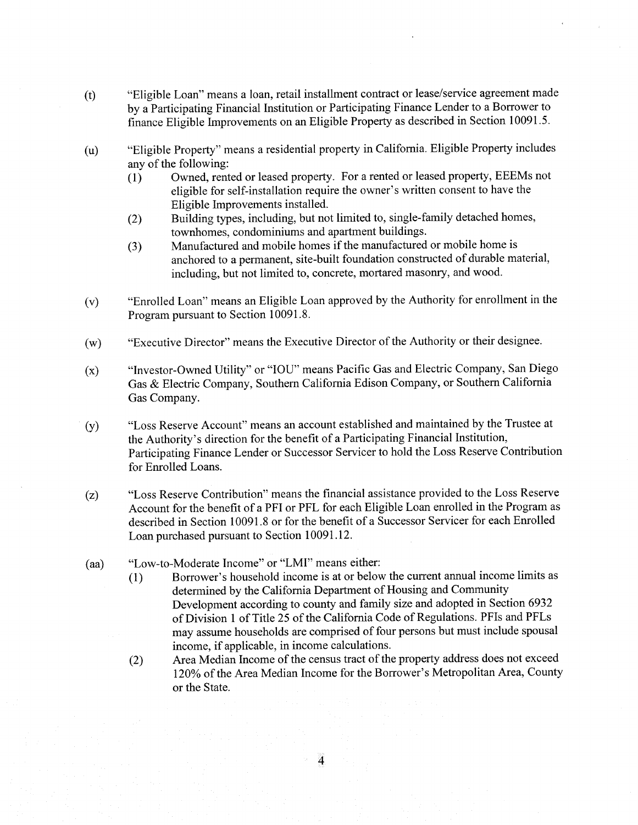- (t) "Eligible Loan" means a loan, retail installment contract or lease/service agreement made by a Participating Financial Institution or Participating Finance Lender to a Borrower to finance Eligible Improvements on an Eligible Property as described in Section 10091.5.
- (u) "Eligible Property" means a residential property in California. Eligible Property includes any of the following:
	- (1) Owned, rented or leased property. For a rented or leased property, EEEMs not eligible for self-installation require the owner's written consent to have the .Eligible Improvements installed.
	- (2) Building types, including, but not limited to, single-family detached homes, townhomes, condominiums and apartment buildings.
	- (3) Manufactured and mobile homes if the manufactured or mobile home is anchored to a permanent, site-built foundation constructed of durable material, including, but not limited to, concrete, mortared masonry, and wood.
- (v) "Enrolled Loan" means an Eligible Loan approved by the Authority for enrollment in the Program pursuant to Section 10091.\$.
- (w) "Executive Director" means the Executive Director of the Authority or their designee.
- (x) "Investor-Owned Utility" or "IOU" means Pacific Gas and Electric Company, San Diego Gas & Electric Company, Southern California Edison Company, or Southern California Gas Company.
- (y) "Loss Reserve Account" means an account established and maintained by the Trustee at the Authority's direction for the benefit of a Participating Financial Institution, Participating Finance Lender or Successor Servicer to hold the Loss Reserve Contribution for Enrolled Loans.
- (z) "Loss Reserve Contribution" means the financial assistance provided to the Loss Reserve Account for the benefit of a PFI or PFL for each Eligible Loan enrolled in the Program as described in Section 10091.8 or for the benefit of a Successor Servicer for each Enrolled Loan purchased pursuant to Section 10091.12.
- (aa) "Low-to-Moderate income" or "LMI" means either:
	- (1) Borrower's household income is at or below the current annual income limits as determined by the California Department of Housing and Community Development according to county and family size and adopted in Section 6932 of Division 1 of Title 25 of the California Code of Regulations. PFIs and PFLs may assume households are comprised of four persons but must include spousal income, if applicable, in income calculations.
	- (2) Area Median Income of the census tract of the property address does not exceed 120% of the Area Median Income for the Borrower's Metropolitan Area, County or the State.

4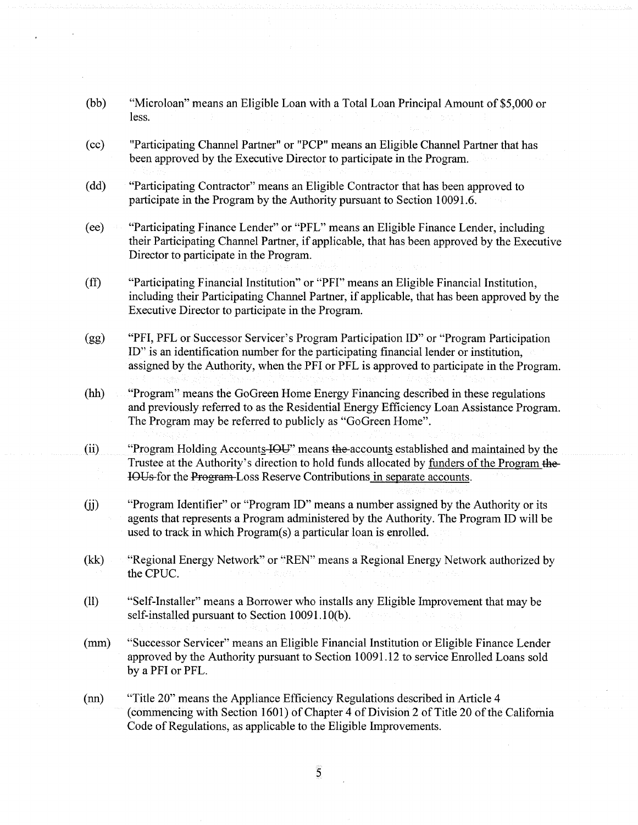- (bb) "Microloan" means an Eligible Loan with a Total Loan Principal Amount of \$5,000 or less.
- (cc) "Participating Channel Partner" or "PCP" means an Eligible Channel Partner that has been approved by the Executive Director to participate in the Program..
- (dd) "Participating Contractor" means an Eligible Contractor that has been approved to participate in the Program by the Authority pursuant to Section 10091.6.
- (ee) "Participating Finance Lender" or "PFL" means an Eligible Finance Lender, including their Participating Channel Partner, if applicable, that has been approved by the Executive Director to participate in the Program.
- (ff) "Participating Financial Institution" or "PFI" means an Eligible Financial Institution, including their Participating Channel Partner, if applicable, that has been approved by the Executive Director to participate in the Program.
- (gg) "PFI, PFL or Successor Servicer's'Program Participation ID" or "Program Participation ID" is an identification number for the participating financial lender or institution, assigned by the Authority, when the PFi or PFL is approved to participate in the Program.
- (hh) "Program" means the GoGreen Home Energy Financing described in these regulations and previously referred to as the Residential Energy Efficiency Loan Assistance Program. The Program may be referred to publicly as "GoGreen Home",
- (ii) "Program Holding Accounts-HOU" means the accounts established and maintained by the Trustee at the Authority's direction to hold funds allocated by funders of the Program the-HOUs-for the Program-Loss Reserve Contributions in separate accounts.
- (jj) "Program Identifier" or "Program ID" means a number assigned by the Authority or its agents that represents a Program administered by the Authority. The Program ID will be used to track in which Program(s) a particular loan is enrolled.
- (kk) "Regional Energy Network" or "REN" means a Regional Energy Network authorized by the CPUC.
- (11) "Self-Installer" means a Borrower who installs any Eligible Improvement that maybe self-installed pursuant to Section 10091.10(b).
- (mm) "Successor Servicer" means an Eligible Financial Institution or Eligible Finance Lender approved by the Authority pursuant to Section 10091.12 to service Enrolled Loans sold by a PFI or PFL.
- (nn) "Title 20" means the Appliance Efficiency Regulations described in Article 4 (commencing with Section I601) of Chapter 4 of Division 2 of Title 20 of the California Code of Regulations, as applicable to the Eligible Improvements.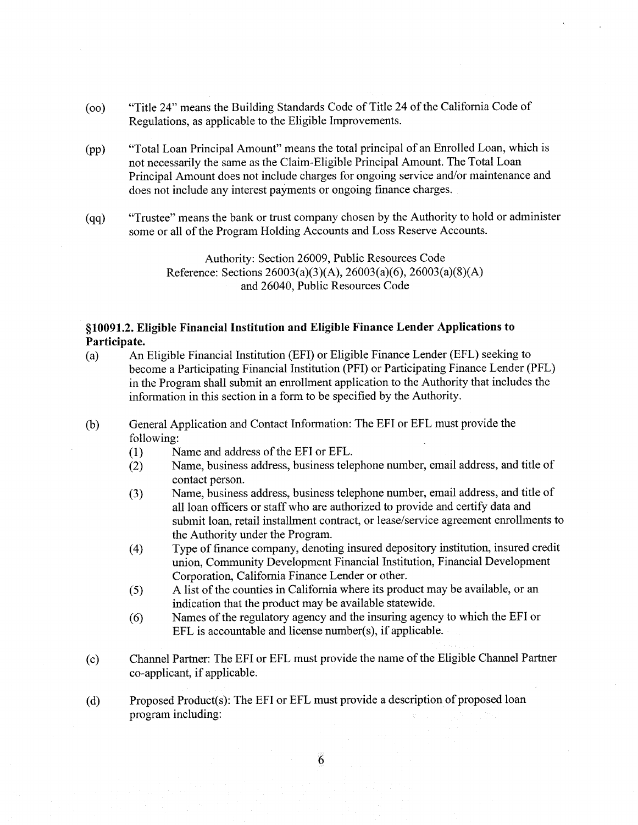- (oo) "Title 24" means the Building Standards Code of Title 24 of the California Code of Regulations, as applicable to the Eligible Improvements.
- (pp) "Total Loan Principal Amount" means the total principal of an Enrolled Loan, which is not necessarily the same as the Claim-Eligible Principal Amount. The Total Loan Principal Amount does not include charges for ongoing service and/or maintenance and does not include any interest payments or ongoing finance charges.
- (qq) "Trustee" means the bank or trust company chosen by the Authority to hold or administer some or all of the Program Holding Accounts and Loss Reserve Accounts.

Authority: Section 26009, Public Resources Code Reference: Sections 26003(a)(3)(A), 26003(a)(6), 26003(a)(8){A) and 26040, Public Resources Code

### §10091.2. Eligible Financial Institution and Eligible Finance Lender Applications to Participate.

- (a) An Eligible Financial Institution (EFI) or Eligible Finance Lender (EFL) seeking to become a Participating Financial Institution (PFI) or Participating Finance Lender (PFL) in the Program shall submit an enrollment application to the Authority that includes the information in this section in a form to be specified by the Authority.
- (b) General Application and Contact Information: The EFI or EFL must provide the following:
	- (1) Name and address of the EFI or EFL.
	- (2) Name, business address, business telephone number, email address, and title of contact person.
	- (3) Name, business address, business telephone number, email address, and title of all loan officers or staff who are authorized to provide and certify data and submit loan, retail installment contract, or lease/service agreement enrollments to the Authority under the Program.
	- (4) Type of finance company, denoting insured depository institution, insured credit union, Community Development Financial Institution, Financial Development Corporation, California Finance Lender or other.
	- (5) A list of the counties in California where its product may be available, or an indication that the product may be available statewide.
	- (6) Names of the regulatory agency and the insuring agency to which the EFI or EFL is accountable and license number(s), if applicable..
- (c) Channel Partner: The EFI or EFL must provide the name of the Eligible Channel Partner co-applicant, if applicable.
- (d} Proposed Product(s): The EFI or EFL must provide a description of proposed loan program including:

6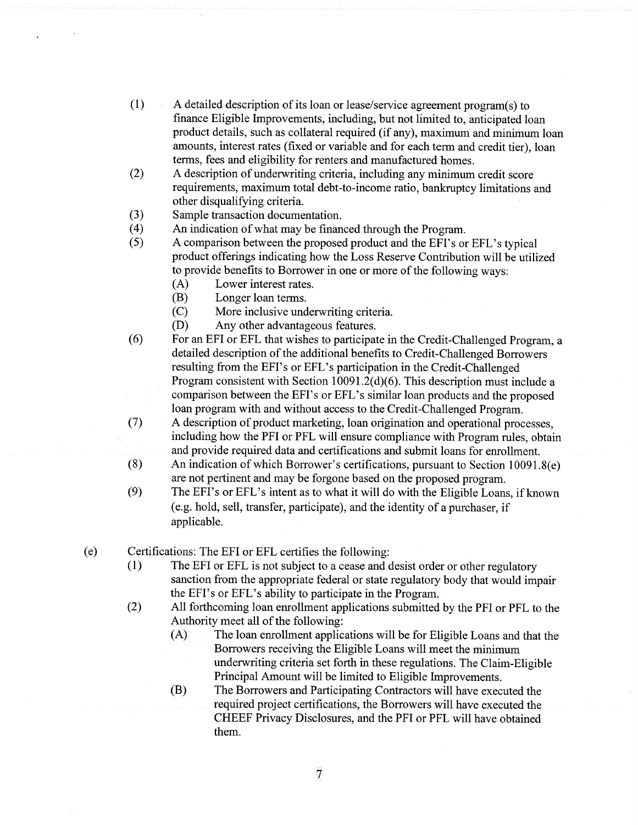- $(1)$  A detailed description of its loan or lease/service agreement program $(s)$  to finance Eligible Improvements, including, but not limited to, anticipated loan product details, such as collateral required (if any), maximum and minimum loan amounts, interest rates (fixed or variable and for each term and credit tier), loan terms, fees and eligibility for renters and manufactured homes.
- (2) A description of underwriting criteria, including any minimum credit score requirements, maximum total debt-to-income ratio, bankruptcy limitations and other disqualifying criteria.
- (3) Sample transaction documentation.<br>(4) An indication of what may be finan
- (4) An indication of what may be financed through the Program.<br>(5) A comparison between the proposed product and the EFI's or
- (5) A comparison between the proposed product and the EFI's or EFL's typical product offerings indicating how the Loss Reserve Contribution will be utilized to provide benefits to Borrower in one or more of the following ways:<br>(A) Lower interest rates.
	- (A) Lower interest rates.<br>(B) Longer loan terms.
	- Longer loan terms.
	- (C) More inclusive underwriting criteria.<br>(D) Any other advantageous features.
	- Any other advantageous features.
- (6) For an EFI or EFL that wishes to participate in the Credit-Challenged Program, a detailed description of the additional benefits to Credit-Challenged Borrowers resulting from the EFI's or EFL's participation in the Credit-Challenged Program consistent with Section  $10091.2(d)(6)$ . This description must include a comparison between the EFI's or EFL's similar loan products and the proposed loan program with and without access to the Credit-Challenged Program.
- (7) A description of product marketing, loan origination and operational processes, including how the PFI or PFL will ensure compliance with Program rules, obtain and provide required data and certifications and submit loans for enrollment.
- (8) An indication of which Borrower's certifications, pursuant to Section 10091.8(e) are not pertinent and may be forgone based on the proposed program.
- (9) The EFI's or EFL's intent as to what it will do with the Eligible Loans, if known (e.g. hold, sell, transfer, participate), and the identity of a purchaser, if applicable.
- (e) Certifications: The EFI or EFL certifies the following:
	- (1) The EFI or EFL is not subject to a cease and desist order or other regulatory sanction from the appropriate federal or state regulatory body that would impair the EFI's or EFL's ability to participate in the Program..
	- (2) All forthcoming loan enrollment applications submitted by the PFT or PFL to the Authority meet all of the following:
		- (A) The loan enrollment applications will be for Eligible Loans and that the Borrowers receiving the Eligible Loans will meet the minimum underwriting criteria set forth in these regulations. The Claim-Eligible Principal Amount will be limited to Eligible Improvements.
		- (B) The Borrowers and Participating Contractors will have executed the required project certifications, the Borrowers. will have executed the CHEEF Privacy Disclosures, and the PFI or PFL wi11 have obtained them.

 $\overline{7}$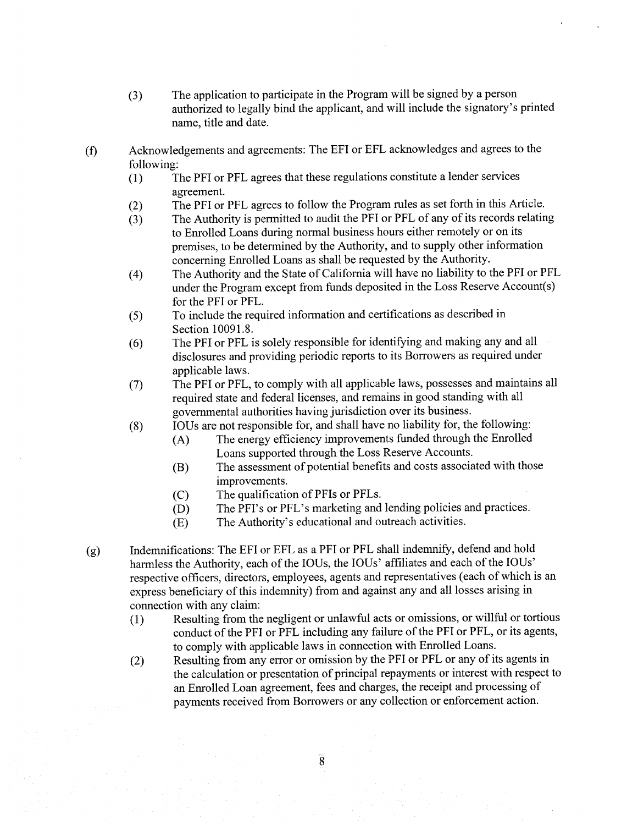- (3) The application to participate in the Program will be signed by a person authorized to legally bind the applicant, and will include the signatory's printed name, title and date.
- (~ Acknowledgements and agreements: The EFI or EFL acknowledges and agrees to the following:
	- (1) The PFI or PFL agrees that these regulations constitute a lender services agreement.
	- (2) The PFI or PFL agrees to follow the Program rules as set forth in this Article.
	- (3) The Authority is permitted to audit the PFI or PFL of any of its records relating to Enrolled Loans during normal business hours either remotely or on its premises, to be determined by the Authority, and to supply other information concerning Enrolled Loans as shall be requested by the Authority.
	- (4) The Authority and the State of California will have no liability to the PFI or PFL under the Program except from funds deposited in the Loss Reserve Account $(s)$ for the PFI or PFL.
	- (5) To include the required information and certifications as described in Section 10091.8.
	- (6) The PFI or PFL is solely responsible for identifying and making any and all disclosures and providing periodic reports to its Borrowers as required under applicable laws.
	- (7) The PFI or PFL, to comply with all applicable laws, possesses and maintains all required state and federal licenses, and remains in good standing with all governmental authorities having jurisdiction over its business.
	- (\$) IOUs are not responsible for, and shall have no liability for, the following:
		- (A) The energy efficiency improvements funded through the Enrolled Loans supported through the Loss Reserve Accounts.
		- (B) The assessment of potential benefits and costs associated with those improvements.
		- (C) The qualification of PFIs or PFLs.
		- (D) The PFI's or PFL's marketing and lending policies and practices.
		- (E) The Authority's educational and outreach activities.
- (g) Indemnifications: The EFI or EFL as a PFI or PFL shall indemnify, defend and hold harmless the Authority, each of the IOUs, the IOUs' affiliates and each of the IOUs' respective officers, directors, employees, agents and representatives (each of which is an express beneficiary of this indemnity) from and against any and all losses arising in connection with any claim:
	- (1) Resulting from the negligent or unlawful acts or omissions, or willful or tortious conduct of the PFI or PFL including any failure of the PFI or PFL, or its agents, to comply with applicable laws in connection with Enrolled Loans.
	- (2) Resulting from any error or omission by the PFI or PFL or any of its agents in the calculation or presentation of principal repayments or interest with respect to an Enrolled Loan agreement, fees and charges, the receipt and processing of payments received from Borrowers or any collection or enforcement action.